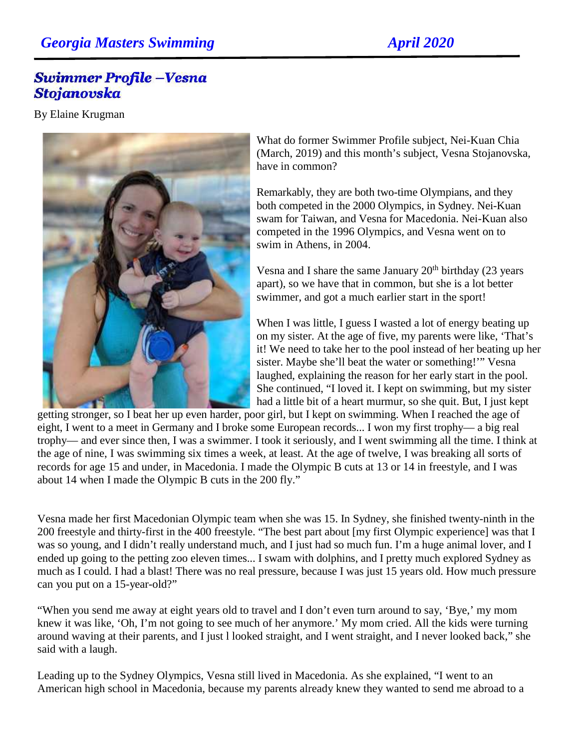## **Georgia Masters Swimming April 2020**

## **Swimmer Profile -Vesna** Stojanovska

By Elaine Krugman



What do former Swimmer Profile subject, Nei-Kuan Chia (March, 2019) and this month's subject, Vesna Stojanovska, have in common?

Remarkably, they are both two-time Olympians, and they both competed in the 2000 Olympics, in Sydney. Nei-Kuan swam for Taiwan, and Vesna for Macedonia. Nei-Kuan also competed in the 1996 Olympics, and Vesna went on to swim in Athens, in 2004.

Vesna and I share the same January  $20<sup>th</sup>$  birthday (23 years) apart), so we have that in common, but she is a lot better swimmer, and got a much earlier start in the sport!

When I was little, I guess I wasted a lot of energy beating up on my sister. At the age of five, my parents were like, 'That's it! We need to take her to the pool instead of her beating up her sister. Maybe she'll beat the water or something!'" Vesna laughed, explaining the reason for her early start in the pool. She continued, "I loved it. I kept on swimming, but my sister had a little bit of a heart murmur, so she quit. But, I just kept

getting stronger, so I beat her up even harder, poor girl, but I kept on swimming. When I reached the age of eight, I went to a meet in Germany and I broke some European records... I won my first trophy— a big real trophy— and ever since then, I was a swimmer. I took it seriously, and I went swimming all the time. I think at the age of nine, I was swimming six times a week, at least. At the age of twelve, I was breaking all sorts of records for age 15 and under, in Macedonia. I made the Olympic B cuts at 13 or 14 in freestyle, and I was about 14 when I made the Olympic B cuts in the 200 fly."

Vesna made her first Macedonian Olympic team when she was 15. In Sydney, she finished twenty-ninth in the 200 freestyle and thirty-first in the 400 freestyle. "The best part about [my first Olympic experience] was that I was so young, and I didn't really understand much, and I just had so much fun. I'm a huge animal lover, and I ended up going to the petting zoo eleven times... I swam with dolphins, and I pretty much explored Sydney as much as I could. I had a blast! There was no real pressure, because I was just 15 years old. How much pressure can you put on a 15-year-old?"

"When you send me away at eight years old to travel and I don't even turn around to say, 'Bye,' my mom knew it was like, 'Oh, I'm not going to see much of her anymore.' My mom cried. All the kids were turning around waving at their parents, and I just l looked straight, and I went straight, and I never looked back," she said with a laugh.

Leading up to the Sydney Olympics, Vesna still lived in Macedonia. As she explained, "I went to an American high school in Macedonia, because my parents already knew they wanted to send me abroad to a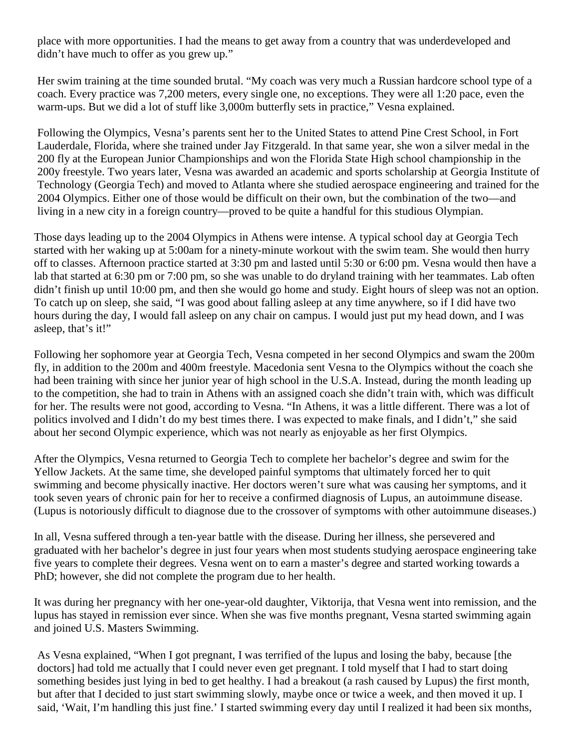place with more opportunities. I had the means to get away from a country that was underdeveloped and didn't have much to offer as you grew up."

Her swim training at the time sounded brutal. "My coach was very much a Russian hardcore school type of a coach. Every practice was 7,200 meters, every single one, no exceptions. They were all 1:20 pace, even the warm-ups. But we did a lot of stuff like 3,000m butterfly sets in practice," Vesna explained.

Following the Olympics, Vesna's parents sent her to the United States to attend Pine Crest School, in Fort Lauderdale, Florida, where she trained under Jay Fitzgerald. In that same year, she won a silver medal in the 200 fly at the European Junior Championships and won the Florida State High school championship in the 200y freestyle. Two years later, Vesna was awarded an academic and sports scholarship at Georgia Institute of Technology (Georgia Tech) and moved to Atlanta where she studied aerospace engineering and trained for the 2004 Olympics. Either one of those would be difficult on their own, but the combination of the two—and living in a new city in a foreign country—proved to be quite a handful for this studious Olympian.

Those days leading up to the 2004 Olympics in Athens were intense. A typical school day at Georgia Tech started with her waking up at 5:00am for a ninety-minute workout with the swim team. She would then hurry off to classes. Afternoon practice started at 3:30 pm and lasted until 5:30 or 6:00 pm. Vesna would then have a lab that started at 6:30 pm or 7:00 pm, so she was unable to do dryland training with her teammates. Lab often didn't finish up until 10:00 pm, and then she would go home and study. Eight hours of sleep was not an option. To catch up on sleep, she said, "I was good about falling asleep at any time anywhere, so if I did have two hours during the day, I would fall asleep on any chair on campus. I would just put my head down, and I was asleep, that's it!"

Following her sophomore year at Georgia Tech, Vesna competed in her second Olympics and swam the 200m fly, in addition to the 200m and 400m freestyle. Macedonia sent Vesna to the Olympics without the coach she had been training with since her junior year of high school in the U.S.A. Instead, during the month leading up to the competition, she had to train in Athens with an assigned coach she didn't train with, which was difficult for her. The results were not good, according to Vesna. "In Athens, it was a little different. There was a lot of politics involved and I didn't do my best times there. I was expected to make finals, and I didn't," she said about her second Olympic experience, which was not nearly as enjoyable as her first Olympics.

After the Olympics, Vesna returned to Georgia Tech to complete her bachelor's degree and swim for the Yellow Jackets. At the same time, she developed painful symptoms that ultimately forced her to quit swimming and become physically inactive. Her doctors weren't sure what was causing her symptoms, and it took seven years of chronic pain for her to receive a confirmed diagnosis of Lupus, an autoimmune disease. (Lupus is notoriously difficult to diagnose due to the crossover of symptoms with other autoimmune diseases.)

In all, Vesna suffered through a ten-year battle with the disease. During her illness, she persevered and graduated with her bachelor's degree in just four years when most students studying aerospace engineering take five years to complete their degrees. Vesna went on to earn a master's degree and started working towards a PhD; however, she did not complete the program due to her health.

It was during her pregnancy with her one-year-old daughter, Viktorija, that Vesna went into remission, and the lupus has stayed in remission ever since. When she was five months pregnant, Vesna started swimming again and joined U.S. Masters Swimming.

As Vesna explained, "When I got pregnant, I was terrified of the lupus and losing the baby, because [the doctors] had told me actually that I could never even get pregnant. I told myself that I had to start doing something besides just lying in bed to get healthy. I had a breakout (a rash caused by Lupus) the first month, but after that I decided to just start swimming slowly, maybe once or twice a week, and then moved it up. I said, 'Wait, I'm handling this just fine.' I started swimming every day until I realized it had been six months,